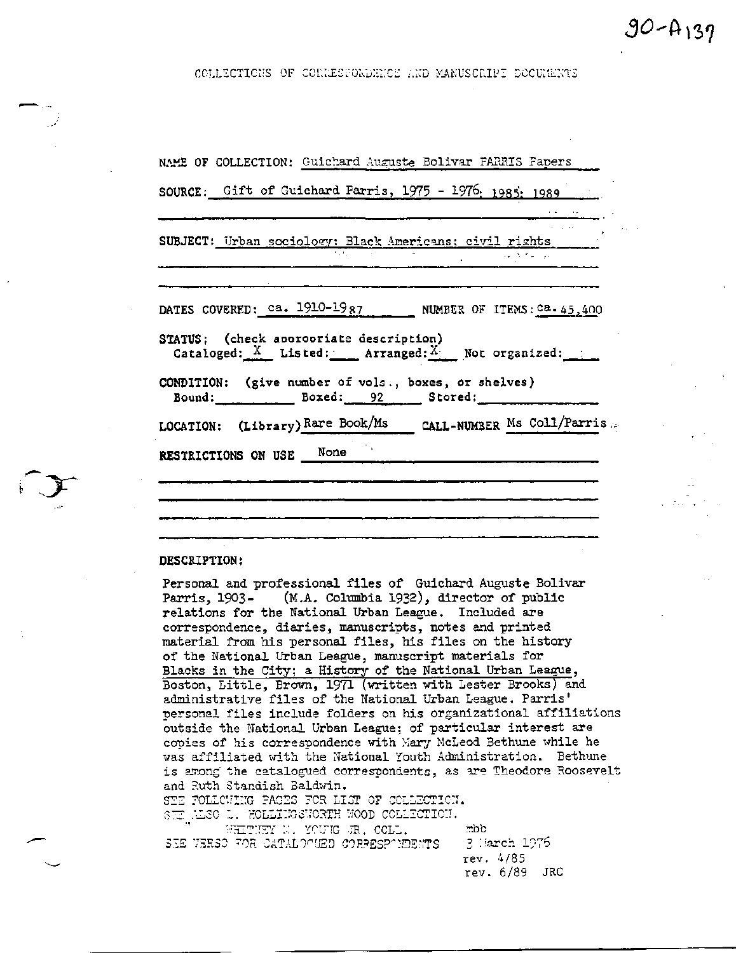$90 - A_139$ 

COLLECTIONS OF CONNESPONDENCE AND MANUSCRIPT DOCUMENTS

| NAME OF COLLECTION: Guichard Auguste Bolivar PARRIS Fapers                                                                                                                                                                                                                                                                                                                                                                                                                                                                              |
|-----------------------------------------------------------------------------------------------------------------------------------------------------------------------------------------------------------------------------------------------------------------------------------------------------------------------------------------------------------------------------------------------------------------------------------------------------------------------------------------------------------------------------------------|
| SOURCE: Gift of Guichard Parris, 1975 - 1976; 1985; 1989                                                                                                                                                                                                                                                                                                                                                                                                                                                                                |
| SUBJECT: Urban sociology: Black Americans; civil rights _______<br>$\frac{1}{\sqrt{1-\frac{1}{2}}}\left(\frac{1}{\sqrt{2}}\right)^2\left(\frac{1}{\sqrt{2}}\right)^2\left(\frac{1}{\sqrt{2}}\right)^2\left(\frac{1}{\sqrt{2}}\right)^2\left(\frac{1}{\sqrt{2}}\right)^2\left(\frac{1}{\sqrt{2}}\right)^2\left(\frac{1}{\sqrt{2}}\right)^2\left(\frac{1}{\sqrt{2}}\right)^2\left(\frac{1}{\sqrt{2}}\right)^2\left(\frac{1}{\sqrt{2}}\right)^2\left(\frac{1}{\sqrt{2}}\right)^2\left(\frac{1}{\sqrt{2}}\right)^2\left(\frac{1}{\sqrt{2}}$ |
| DATES COVERED: $ca. 1910-1987$ NUMBER OF ITEMS: $ca. 45,400$<br>STATUS; (check aporopriate description)                                                                                                                                                                                                                                                                                                                                                                                                                                 |
| Cataloged: $X$ Listed: Arranged: $X$ Not organized:<br>CONDITION: (give number of vols., boxes, or shelves)<br>Bound: $Bored: 92 $ Stored:                                                                                                                                                                                                                                                                                                                                                                                              |
| LOCATION: (Library) Rare Book/Ms CALL-NUMBER Ms Coll/Parris                                                                                                                                                                                                                                                                                                                                                                                                                                                                             |
| RESTRICTIONS ON USE None                                                                                                                                                                                                                                                                                                                                                                                                                                                                                                                |
|                                                                                                                                                                                                                                                                                                                                                                                                                                                                                                                                         |

#### DESCRIPTION:

Personal and professional files of Guichard Auguste Bolivar Parris, 1903- (M.A. Columbia 1932), director of public relations for the National Urban League. Included are correspondence, diaries, manuscripts, notes and printed material from his personal files, his files on the history of the National Urban League, manuscript materials for Blacks in the City; a History of the National Urban League, Boston, Little, Brown, 1971 (written with Lester Brooks) and administrative files of the National Urban League. Parris' personal files include folders on his organizational affiliations outside the National Urban League; of particular interest are copies of his correspondence with Mary McLeod Bethune while he was affiliated with the National Youth Administration. Bethune is among the catalogued correspondents, as are Theodore Roosevelt and Ruth Standish Baldwin. STE FOLLCWING PAGES FOR LIST OF COLLECTION. SEE ALSO L. HOLLIEGSWORTH WOOD COLLECTION. WHITHEY M. YOUNG JR. COLL. oom.

SEE VERSO FOR CATALOGUED CORPESPONDENTS

-3 Harch 1976 rev. 4/85 rev.  $6/89$  JRC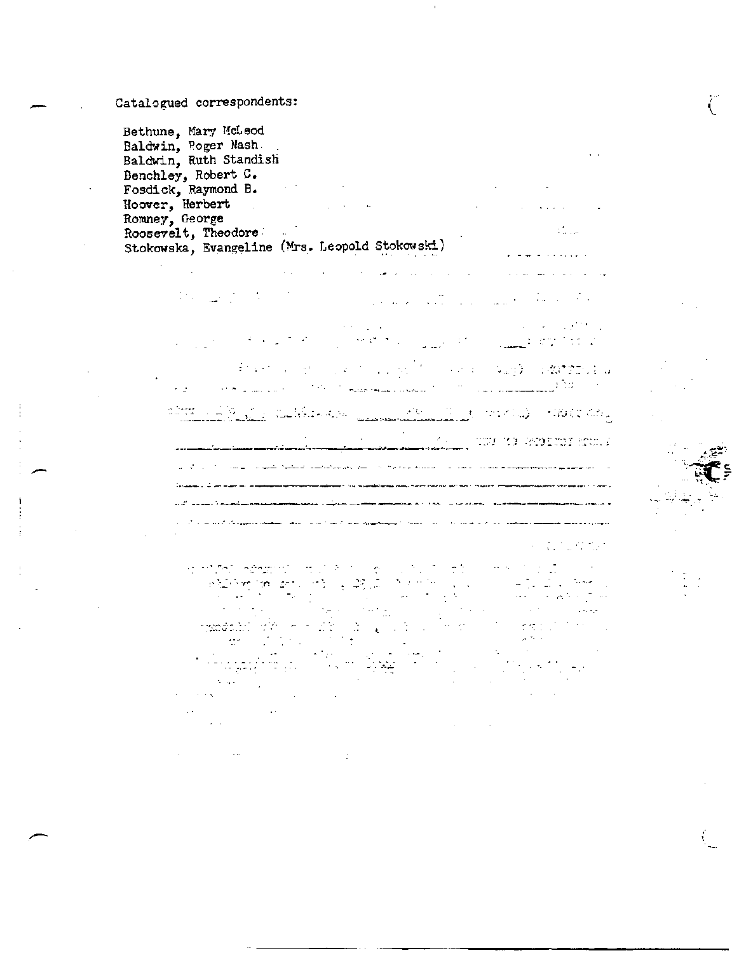# Catalogued correspondents:

 $\mathbb{R}^{n+1}$ 

Bethune, Mary McLeod Baldwin, Roger Nash. . Baldwin, Ruth Standish Benchley, Robert C. Fosdick, Raymond B. **Fosdick**,  $\frac{1}{2}$ Hoover, Herbert . . .. Romney, George Roosevelt, Theodore Stokowska, Evangeline (Mrs. Leopold Stokowski)

> $\sim 100$  $\sim 10^7$  $\frac{1}{2}$  ,  $\frac{1}{2}$  ,  $\frac{1}{2}$  ,  $\frac{1}{2}$  ,  $\sim 10^{11}$  and  $\sim 10^{11}$  $\mathcal{L} \subset \mathcal{M}$  $\sim 100$ **SERVICE OF** ا برای از ایرانیایی است.<br>در اینکه از ایرانیایی است. برای ایرانیایی از ایرانیایی  $\sim$  $\epsilon$  is  $\sim 10$ **Partie Hugh Consumer** 'n.  $\mathcal{F}^{\prime}(\mathbb{C})$ introdu) - Handen **TELM AREA**  $\mathcal{A}$ ر<br>بارا استفاده بارستانستان , TWO YE GYMERY RYS. 2 المتعدة لولاده فالمحامي المتواردين ليتكلف فتنقصوا الشيهاندان لوالس .<br>The construction of the construction of the company of the construction of the construction of the construction of the construction of the construction of the construction of the construction of the construction of the c <u>and the computation and the</u> لمحادث المراد وللمحادث والمستحققين المتفادة للمراد المراد المتعدد للقدار and the second control of the component of the second control of the second control of the second control of the second control of the second control of the second control of the second control of the second control of the

 $\mathcal{L} = \mathcal{L}$ 

 $\sqrt{2}$ 

 $\mathbf{L}$ 

 $\mathbb{R}^{n}$ 

Т.,

atica.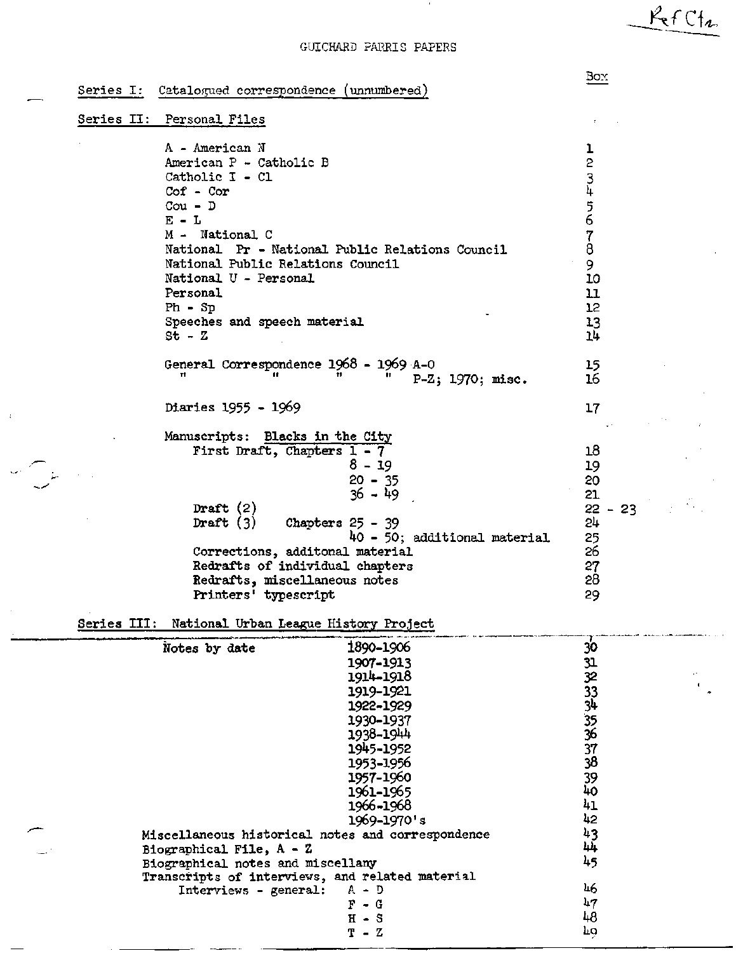## GUICHARD FARRIS PAPERS

Series I: Catalogued correspondence (unnumbered)

### Series II: Personal Files

A - American N American P - Catholic B Catholic I - Cl Cof - Cor Cou - D  $E - L$ M - National C National Pr - National Public Relations Council National Public Relations Council National U - Personal Personal Ph - Sp Speeches and speech material  $St - Z$ General Correspondence  $1968 - 1969$  A-0 P-Z; 1970; misc. Diaries 1955 - 1969 Manuscripts: Blacks in the City First Draft, Chapters 1- 7 8-19 20 - 35 36 - 49 Draft  $(2)$ <br>Draft  $(3)$ Chapters  $25 - 39$ kO - 50; additional material Corrections, additonal material Redrafts of individual chapters Redrafts, miscellaneous notes Printers' typescript  $\frac{1}{2}$ 2 3<br>1. 4<br>-5 6 7 8 9 10 11 12 13 Ik 15 16 17 18 19 20 21  $22 - 23$ 2k 25 26 27 28 29

Series III: National Urban League History Project

| Notes by date                                     | 1890-1906                                       | 30 |    |
|---------------------------------------------------|-------------------------------------------------|----|----|
|                                                   | 1907-1913                                       |    |    |
|                                                   | 1914-1918                                       |    | o. |
|                                                   | 1919-1921                                       |    |    |
|                                                   | 1922-1929                                       |    |    |
|                                                   | 1930-1937                                       |    |    |
|                                                   | 1938-1944                                       |    |    |
|                                                   | 1945-1952                                       |    |    |
|                                                   | 1953-1956                                       |    |    |
|                                                   | 1957-1960                                       |    |    |
|                                                   | 1961-1965                                       | 40 |    |
|                                                   | 1966-1968                                       | 41 |    |
|                                                   | 1969-1970's                                     | 42 |    |
| Miscellaneous historical notes and correspondence |                                                 | 43 |    |
| Biographical File, $A - Z$                        |                                                 | 44 |    |
| Biographical notes and miscellany                 |                                                 | 45 |    |
|                                                   | Transcripts of interviews, and related material |    |    |
| Interviews - general:                             | $A - D$                                         | 46 |    |
|                                                   | F<br>$- G$                                      | 47 |    |
|                                                   | $H - S$                                         | 48 |    |
|                                                   | $T - Z$                                         | Ļ٥ |    |
|                                                   |                                                 |    |    |

# Box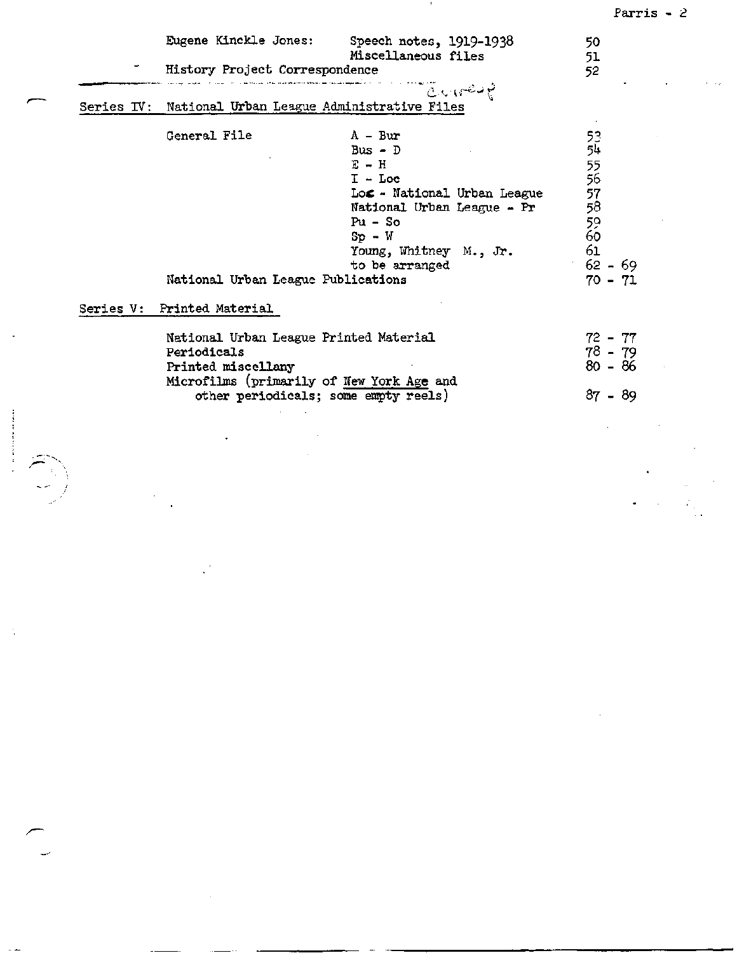|                                                       |                             | Parris $-2$ |  |
|-------------------------------------------------------|-----------------------------|-------------|--|
| Eugene Kinckle Jones:                                 | Speech notes, 1919-1938     | 50          |  |
|                                                       | Miscellaneous files         | 51          |  |
| History Project Correspondence                        |                             | 52          |  |
|                                                       | ن د اړه کالي                |             |  |
| Series IV: National Urban League Administrative Files |                             |             |  |
| General File                                          | $A - Bur$                   | 53          |  |
|                                                       | Bus $-$ D                   | 54          |  |
|                                                       | $E - H$                     | 55<br>56    |  |
|                                                       | $I - Loc$                   |             |  |
|                                                       | Loc - National Urban League | 57<br>58    |  |
|                                                       | National Urban League - Pr  |             |  |
|                                                       | $Pu - So$                   | 59          |  |
|                                                       | $Sp - W$                    | 60          |  |
|                                                       | Young, Whitney M., Jr.      | 61          |  |
|                                                       | to be arranged              | $62 - 69$   |  |
| National Urban League Publications                    |                             | $70 - 71$   |  |
| Series V: Printed Material                            |                             |             |  |
| National Urban League Printed Material                |                             | $72 - 77$   |  |
| Periodicals                                           |                             | $78 - 79$   |  |
|                                                       |                             |             |  |
|                                                       |                             | $80 - 86$   |  |
| Printed miscellany                                    |                             |             |  |
| Microfilms (primarily of New York Age and             |                             |             |  |
| other periodicals; some empty reels)                  |                             | $87 - 89$   |  |
|                                                       |                             |             |  |
|                                                       |                             |             |  |
|                                                       |                             |             |  |
|                                                       |                             |             |  |
|                                                       |                             |             |  |
|                                                       |                             |             |  |
|                                                       |                             |             |  |
|                                                       |                             |             |  |
|                                                       |                             |             |  |

 $\label{eq:2.1} \frac{1}{\sqrt{2}}\int_{\mathbb{R}^3}\frac{1}{\sqrt{2}}\left(\frac{1}{\sqrt{2}}\right)^2\frac{1}{\sqrt{2}}\left(\frac{1}{\sqrt{2}}\right)^2\frac{1}{\sqrt{2}}\left(\frac{1}{\sqrt{2}}\right)^2\frac{1}{\sqrt{2}}\left(\frac{1}{\sqrt{2}}\right)^2\frac{1}{\sqrt{2}}\left(\frac{1}{\sqrt{2}}\right)^2\frac{1}{\sqrt{2}}\frac{1}{\sqrt{2}}\frac{1}{\sqrt{2}}\frac{1}{\sqrt{2}}\frac{1}{\sqrt{2}}\frac{1}{\sqrt{2}}$ 

 $\label{eq:2.1} \frac{1}{\sqrt{2}}\int_{\mathbb{R}^3}\frac{1}{\sqrt{2}}\left(\frac{1}{\sqrt{2}}\right)^2\frac{1}{\sqrt{2}}\left(\frac{1}{\sqrt{2}}\right)^2\frac{1}{\sqrt{2}}\left(\frac{1}{\sqrt{2}}\right)^2\frac{1}{\sqrt{2}}\left(\frac{1}{\sqrt{2}}\right)^2\frac{1}{\sqrt{2}}\left(\frac{1}{\sqrt{2}}\right)^2\frac{1}{\sqrt{2}}\frac{1}{\sqrt{2}}\frac{1}{\sqrt{2}}\frac{1}{\sqrt{2}}\frac{1}{\sqrt{2}}\frac{1}{\sqrt{2}}$ 

 $\mathcal{L}(\mathcal{L}^{\mathcal{L}})$  and  $\mathcal{L}^{\mathcal{L}}$  are the set of the set of  $\mathcal{L}^{\mathcal{L}}$ 

 $\Delta \sim 10^{11}$  km s  $^{-1}$